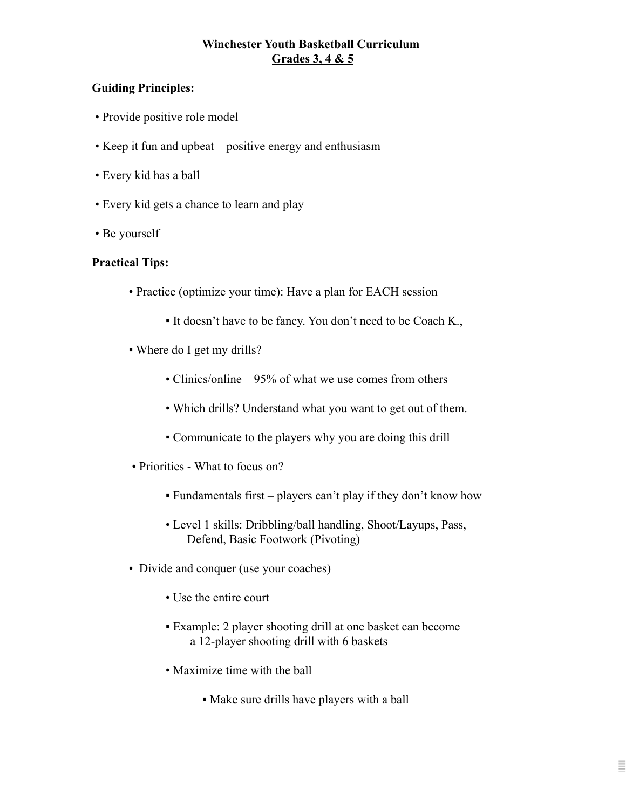# **Winchester Youth Basketball Curriculum Grades 3, 4 & 5**

### **Guiding Principles:**

- Provide positive role model
- Keep it fun and upbeat positive energy and enthusiasm
- Every kid has a ball
- Every kid gets a chance to learn and play
- Be yourself

#### **Practical Tips:**

- Practice (optimize your time): Have a plan for EACH session
	- It doesn't have to be fancy. You don't need to be Coach K.,
- Where do I get my drills?
	- Clinics/online 95% of what we use comes from others
	- Which drills? Understand what you want to get out of them.
	- Communicate to the players why you are doing this drill
- Priorities What to focus on?
	- $\bullet$  Fundamentals first players can't play if they don't know how
	- Level 1 skills: Dribbling/ball handling, Shoot/Layups, Pass, Defend, Basic Footwork (Pivoting)
- Divide and conquer (use your coaches)
	- Use the entire court
	- Example: 2 player shooting drill at one basket can become a 12-player shooting drill with 6 baskets
	- Maximize time with the ball
		- Make sure drills have players with a ball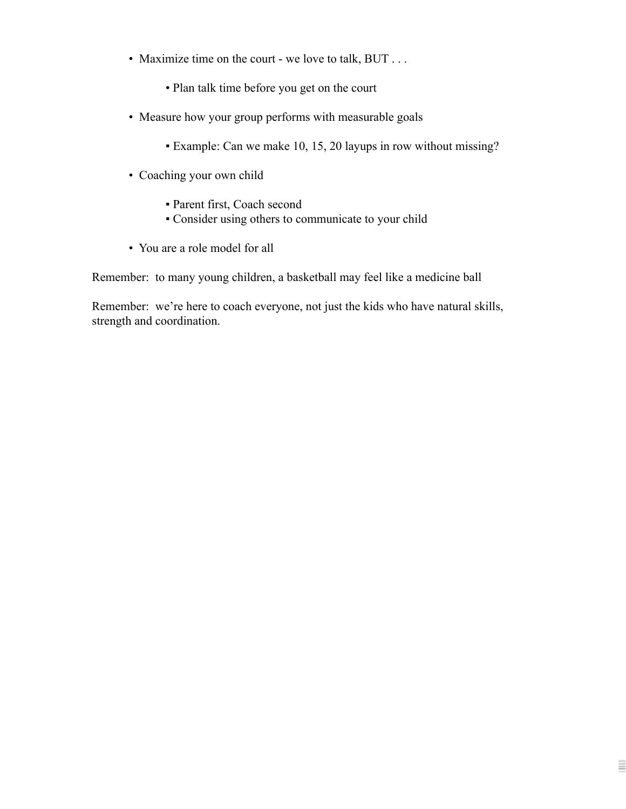- Maximize time on the court we love to talk, BUT . . .
	- Plan talk time before you get on the court
- Measure how your group performs with measurable goals
	- Example: Can we make 10, 15, 20 layups in row without missing?

Ξ

- Coaching your own child
	- Parent first, Coach second
	- Consider using others to communicate to your child
- You are a role model for all

Remember: to many young children, a basketball may feel like a medicine ball

Remember: we're here to coach everyone, not just the kids who have natural skills, strength and coordination.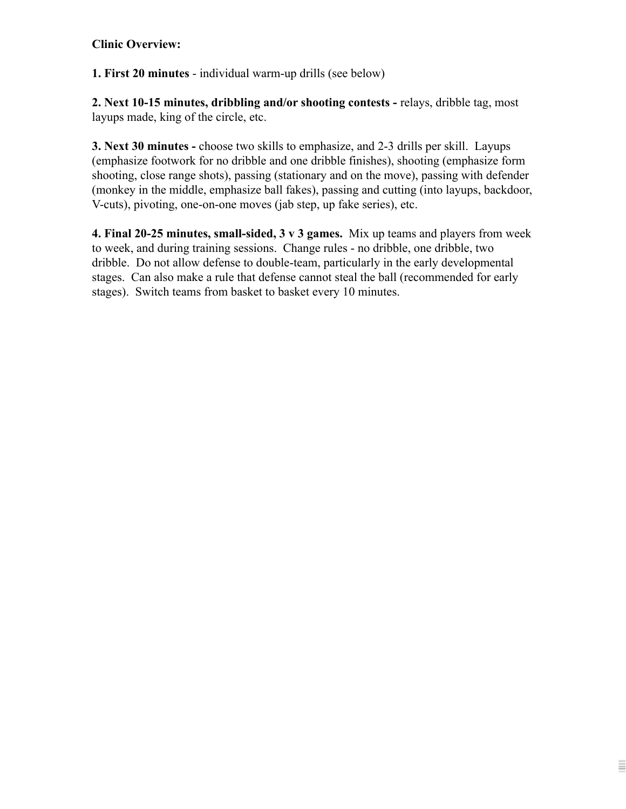# **Clinic Overview:**

**1. First 20 minutes** - individual warm-up drills (see below)

**2. Next 10-15 minutes, dribbling and/or shooting contests -** relays, dribble tag, most layups made, king of the circle, etc.

**3. Next 30 minutes -** choose two skills to emphasize, and 2-3 drills per skill. Layups (emphasize footwork for no dribble and one dribble finishes), shooting (emphasize form shooting, close range shots), passing (stationary and on the move), passing with defender (monkey in the middle, emphasize ball fakes), passing and cutting (into layups, backdoor, V-cuts), pivoting, one-on-one moves (jab step, up fake series), etc.

**4. Final 20-25 minutes, small-sided, 3 v 3 games.** Mix up teams and players from week to week, and during training sessions. Change rules - no dribble, one dribble, two dribble. Do not allow defense to double-team, particularly in the early developmental stages. Can also make a rule that defense cannot steal the ball (recommended for early stages). Switch teams from basket to basket every 10 minutes.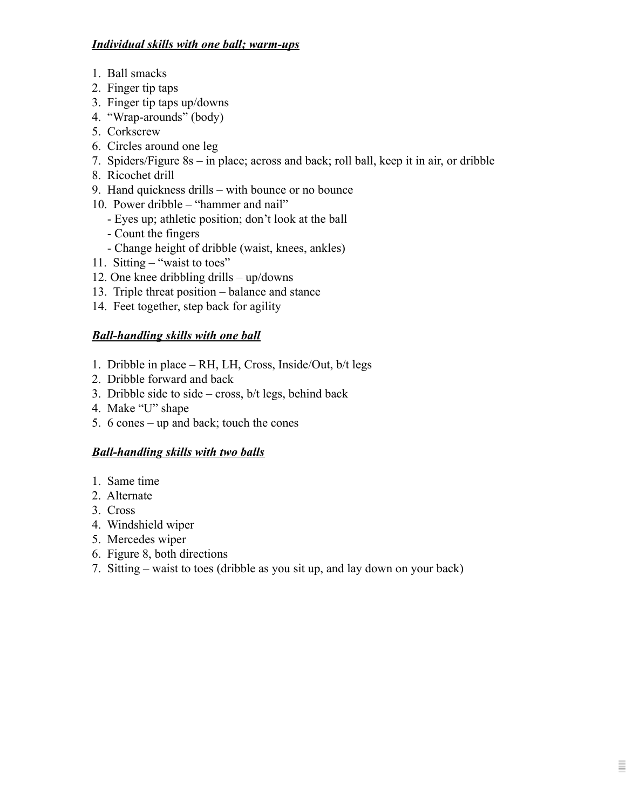# *Individual skills with one ball; warm-ups*

- 1. Ball smacks
- 2. Finger tip taps
- 3. Finger tip taps up/downs
- 4. "Wrap-arounds" (body)
- 5. Corkscrew
- 6. Circles around one leg
- 7. Spiders/Figure 8s in place; across and back; roll ball, keep it in air, or dribble
- 8. Ricochet drill
- 9. Hand quickness drills with bounce or no bounce
- 10. Power dribble "hammer and nail"
	- Eyes up; athletic position; don't look at the ball
	- Count the fingers
	- Change height of dribble (waist, knees, ankles)
- 11. Sitting "waist to toes"
- 12. One knee dribbling drills up/downs
- 13. Triple threat position balance and stance
- 14. Feet together, step back for agility

# *Ball-handling skills with one ball*

- 1. Dribble in place RH, LH, Cross, Inside/Out, b/t legs
- 2. Dribble forward and back
- 3. Dribble side to side cross,  $b/t$  legs, behind back
- 4. Make "U" shape
- 5. 6 cones up and back; touch the cones

# *Ball-handling skills with two balls*

- 1. Same time
- 2. Alternate
- 3. Cross
- 4. Windshield wiper
- 5. Mercedes wiper
- 6. Figure 8, both directions
- 7. Sitting waist to toes (dribble as you sit up, and lay down on your back)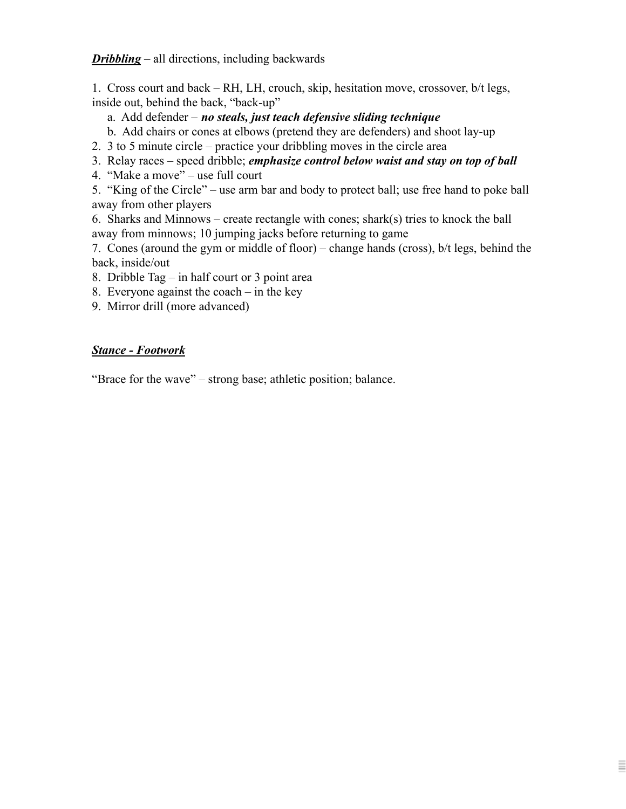*Dribbling* – all directions, including backwards

1. Cross court and back – RH, LH, crouch, skip, hesitation move, crossover, b/t legs, inside out, behind the back, "back-up"

- a. Add defender *no steals, just teach defensive sliding technique*
- b. Add chairs or cones at elbows (pretend they are defenders) and shoot lay-up
- 2. 3 to 5 minute circle practice your dribbling moves in the circle area
- 3. Relay races speed dribble; *emphasize control below waist and stay on top of ball*
- 4. "Make a move" use full court

5. "King of the Circle" – use arm bar and body to protect ball; use free hand to poke ball away from other players

6. Sharks and Minnows – create rectangle with cones; shark(s) tries to knock the ball away from minnows; 10 jumping jacks before returning to game

7. Cones (around the gym or middle of floor) – change hands (cross), b/t legs, behind the back, inside/out

Ξ

8. Dribble Tag – in half court or 3 point area

- 8. Everyone against the coach in the key
- 9. Mirror drill (more advanced)

#### *Stance - Footwork*

"Brace for the wave" – strong base; athletic position; balance.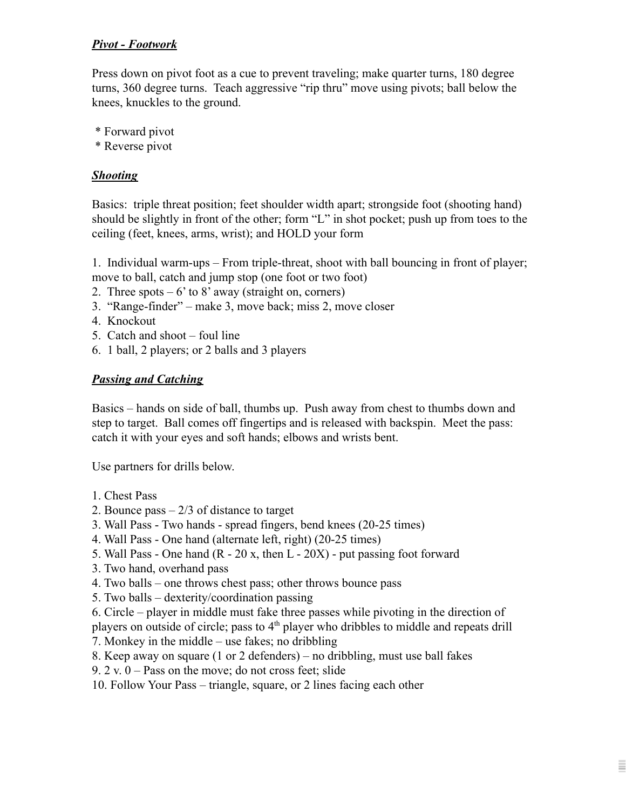# *Pivot - Footwork*

Press down on pivot foot as a cue to prevent traveling; make quarter turns, 180 degree turns, 360 degree turns. Teach aggressive "rip thru" move using pivots; ball below the knees, knuckles to the ground.

- \* Forward pivot
- \* Reverse pivot

### *Shooting*

Basics: triple threat position; feet shoulder width apart; strongside foot (shooting hand) should be slightly in front of the other; form "L" in shot pocket; push up from toes to the ceiling (feet, knees, arms, wrist); and HOLD your form

1. Individual warm-ups – From triple-threat, shoot with ball bouncing in front of player; move to ball, catch and jump stop (one foot or two foot)

- 2. Three spots  $-6'$  to 8' away (straight on, corners)
- 3. "Range-finder" make 3, move back; miss 2, move closer
- 4. Knockout
- 5. Catch and shoot foul line
- 6. 1 ball, 2 players; or 2 balls and 3 players

#### *Passing and Catching*

Basics – hands on side of ball, thumbs up. Push away from chest to thumbs down and step to target. Ball comes off fingertips and is released with backspin. Meet the pass: catch it with your eyes and soft hands; elbows and wrists bent.

Use partners for drills below.

- 1. Chest Pass
- 2. Bounce pass 2/3 of distance to target
- 3. Wall Pass Two hands spread fingers, bend knees (20-25 times)
- 4. Wall Pass One hand (alternate left, right) (20-25 times)
- 5. Wall Pass One hand (R 20 x, then L 20X) put passing foot forward
- 3. Two hand, overhand pass
- 4. Two balls one throws chest pass; other throws bounce pass
- 5. Two balls dexterity/coordination passing
- 6. Circle player in middle must fake three passes while pivoting in the direction of

players on outside of circle; pass to  $4<sup>th</sup>$  player who dribbles to middle and repeats drill 7. Monkey in the middle – use fakes; no dribbling

- 8. Keep away on square (1 or 2 defenders) no dribbling, must use ball fakes
- 9. 2 v.  $0 -$  Pass on the move; do not cross feet; slide
- 10. Follow Your Pass triangle, square, or 2 lines facing each other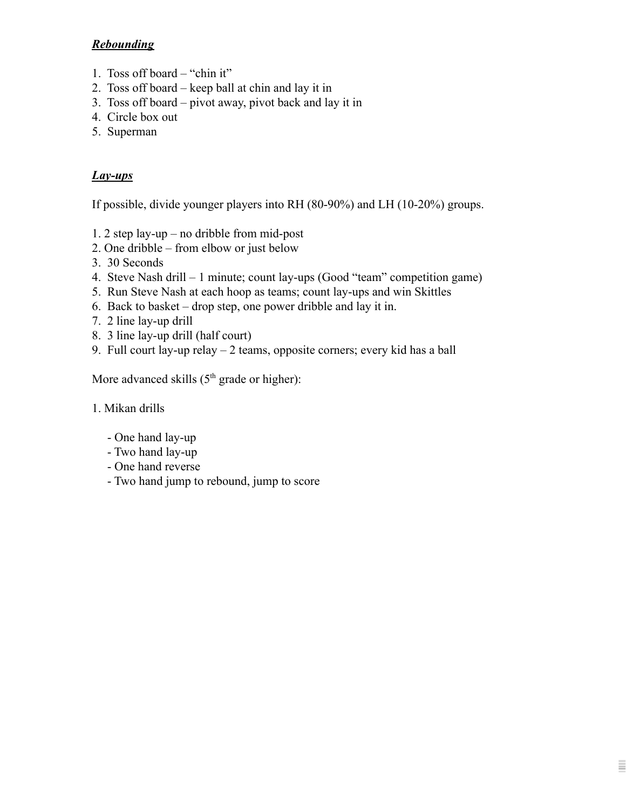# *Rebounding*

- 1. Toss off board "chin it"
- 2. Toss off board keep ball at chin and lay it in
- 3. Toss off board pivot away, pivot back and lay it in
- 4. Circle box out
- 5. Superman

# *Lay-ups*

If possible, divide younger players into RH (80-90%) and LH (10-20%) groups.

- 1. 2 step lay-up no dribble from mid-post
- 2. One dribble from elbow or just below
- 3. 30 Seconds
- 4. Steve Nash drill 1 minute; count lay-ups (Good "team" competition game)
- 5. Run Steve Nash at each hoop as teams; count lay-ups and win Skittles
- 6. Back to basket drop step, one power dribble and lay it in.
- 7. 2 line lay-up drill
- 8. 3 line lay-up drill (half court)
- 9. Full court lay-up relay 2 teams, opposite corners; every kid has a ball

Ξ

More advanced skills  $(5<sup>th</sup> \text{ grade or higher})$ :

### 1. Mikan drills

- One hand lay-up
- Two hand lay-up
- One hand reverse
- Two hand jump to rebound, jump to score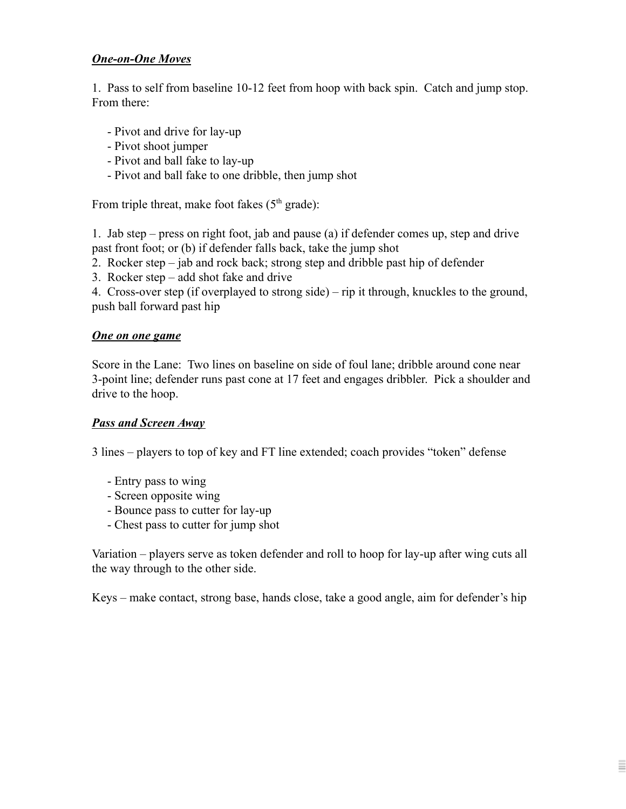### *One-on-One Moves*

1. Pass to self from baseline 10-12 feet from hoop with back spin. Catch and jump stop. From there:

- Pivot and drive for lay-up
- Pivot shoot jumper
- Pivot and ball fake to lay-up
- Pivot and ball fake to one dribble, then jump shot

From triple threat, make foot fakes  $(5<sup>th</sup> \text{ grade})$ :

1. Jab step – press on right foot, jab and pause (a) if defender comes up, step and drive past front foot; or (b) if defender falls back, take the jump shot

- 2. Rocker step jab and rock back; strong step and dribble past hip of defender
- 3. Rocker step add shot fake and drive

4. Cross-over step (if overplayed to strong side) – rip it through, knuckles to the ground, push ball forward past hip

#### *One on one game*

Score in the Lane: Two lines on baseline on side of foul lane; dribble around cone near 3-point line; defender runs past cone at 17 feet and engages dribbler. Pick a shoulder and drive to the hoop.

### *Pass and Screen Away*

3 lines – players to top of key and FT line extended; coach provides "token" defense

- Entry pass to wing
- Screen opposite wing
- Bounce pass to cutter for lay-up
- Chest pass to cutter for jump shot

Variation – players serve as token defender and roll to hoop for lay-up after wing cuts all the way through to the other side.

Keys – make contact, strong base, hands close, take a good angle, aim for defender's hip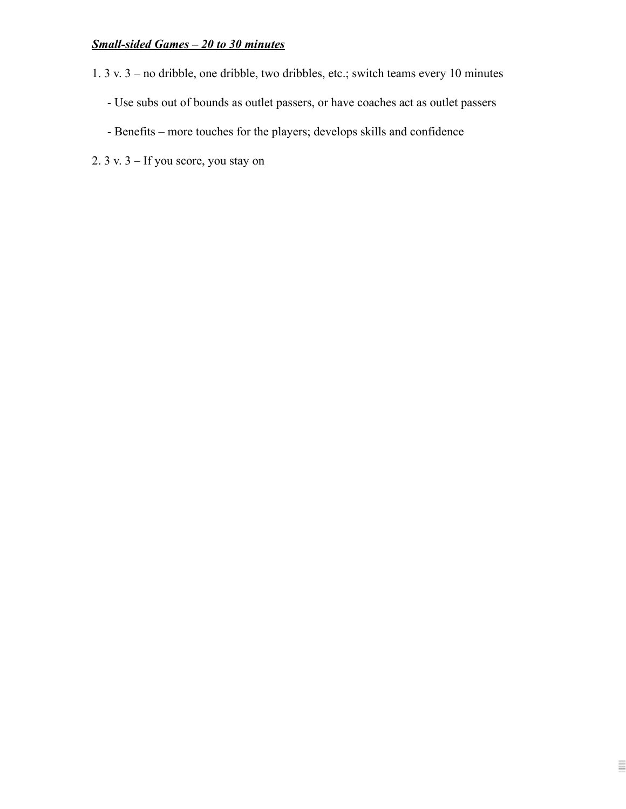# *Small-sided Games – 20 to 30 minutes*

- 1. 3 v. 3 no dribble, one dribble, two dribbles, etc.; switch teams every 10 minutes
	- Use subs out of bounds as outlet passers, or have coaches act as outlet passers

Ē

- Benefits more touches for the players; develops skills and confidence
- 2. 3 v. 3 If you score, you stay on